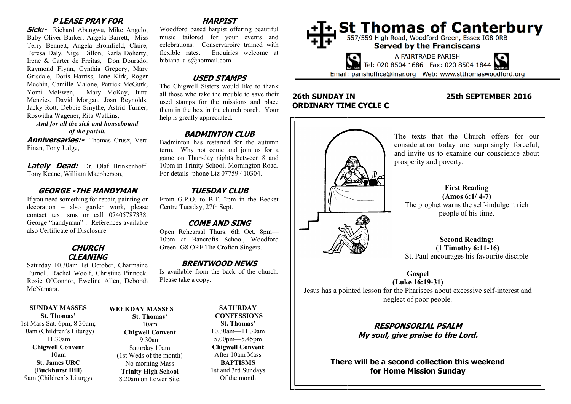## **P LEASE PRAY FOR**

**Sick:-** Richard Abangwu, Mike Angelo, Baby Oliver Barker, Angela Barrett, Miss Terry Bennett, Angela Bromfield, Claire, Teresa Daly, Nigel Dillon, Karla Doherty, Irene & Carter de Freitas, Don Dourado, Raymond Flynn, Cynthia Gregory, Mary Grisdale, Doris Harriss, Jane Kirk, Roger Machin, Camille Malone, Patrick McGurk, Yomi McEwen, Mary McKay, Jutta Menzies, David Morgan, Joan Reynolds, Jacky Rott, Debbie Smythe, Astrid Turner, Roswitha Wagener, Rita Watkins,

*And for all the sick and housebound* 

*of the parish.*

**Anniversaries:** Thomas Crusz, Vera Finan, Tony Judge,

**Lately Dead:** Dr. Olaf Brinkenhoff. Tony Keane, William Macpherson,

#### **GEORGE -THE HANDYMAN**

If you need something for repair, painting or decoration – also garden work, please contact text sms or call 07405787338. George "handyman" . References available also Certificate of Disclosure

## **CHURCH CLEANING**

Saturday 10.30am 1st October, Charmaine Turnell, Rachel Woolf, Christine Pinnock, Rosie O'Connor, Eweline Allen, Deborah McNamara.

#### **SUNDAY MASSES St. Thomas'**

1st Mass Sat. 6pm; 8.30am; 10am (Children's Liturgy) 11.30am **Chigwell Convent** 10am **St. James URC (Buckhurst Hill)** 9am (Children's Liturgy)

#### **WEEKDAY MASSES St. Thomas'** 10am **Chigwell Convent** 9.30am Saturday 10am

(1st Weds of the month) No morning Mass **Trinity High School** 8.20am on Lower Site.

# **HARPIST**

Woodford based harpist offering beautiful music tailored for your events and celebrations. Conservaroire trained with flexible rates. Enquiries welcome at bibiana\_a-s@hotmail.com

## **USED STAMPS**

The Chigwell Sisters would like to thank all those who take the trouble to save their used stamps for the missions and place them in the box in the church porch. Your help is greatly appreciated.

## **BADMINTON CLUB**

Badminton has restarted for the autumn term. Why not come and join us for a game on Thursday nights between 8 and 10pm in Trinity School, Mornington Road. For details 'phone Liz 07759 410304.

## **TUESDAY CLUB**

From G.P.O. to B.T. 2pm in the Becket Centre Tuesday, 27th Sept.

## **COME AND SING**

Open Rehearsal Thurs. 6th Oct. 8pm— 10pm at Bancrofts School, Woodford Green IG8 ORF The Crofton Singers.

#### **BRENTWOOD NEWS**

Is available from the back of the church. Please take a copy.

> **SATURDAY CONFESSIONS St. Thomas'** 10.30am—11.30am 5.00pm—5.45pm **Chigwell Convent** After 10am Mass **BAPTISMS** 1st and 3rd Sundays Of the month



# **26th SUNDAY IN 25th SEPTEMBER 2016 ORDINARY TIME CYCLE C**



# **RESPONSORIAL PSALM My soul, give praise to the Lord.**

**There will be a second collection this weekend for Home Mission Sunday**